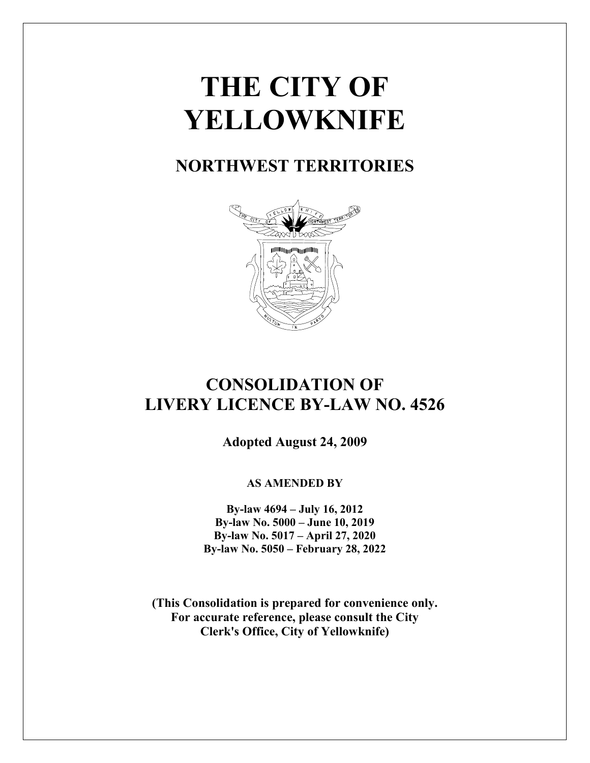# **THE CITY OF YELLOWKNIFE**

## **NORTHWEST TERRITORIES**



## **CONSOLIDATION OF LIVERY LICENCE BY-LAW NO. 4526**

**Adopted August 24, 2009**

## **AS AMENDED BY**

**By-law 4694 – July 16, 2012 By-law No. 5000 – June 10, 2019 By-law No. 5017 – April 27, 2020 By-law No. 5050 – February 28, 2022**

**(This Consolidation is prepared for convenience only. For accurate reference, please consult the City Clerk's Office, City of Yellowknife)**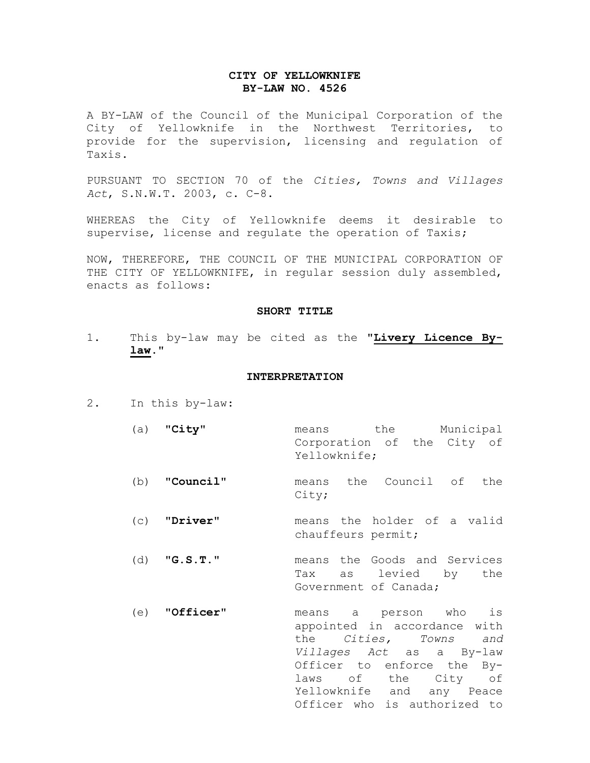#### **CITY OF YELLOWKNIFE BY-LAW NO. 4526**

A BY-LAW of the Council of the Municipal Corporation of the City of Yellowknife in the Northwest Territories, to provide for the supervision, licensing and regulation of Taxis.

PURSUANT TO SECTION 70 of the *Cities, Towns and Villages Act*, S.N.W.T. 2003, c. C-8.

WHEREAS the City of Yellowknife deems it desirable to supervise, license and regulate the operation of Taxis;

NOW, THEREFORE, THE COUNCIL OF THE MUNICIPAL CORPORATION OF THE CITY OF YELLOWKNIFE, in regular session duly assembled, enacts as follows:

#### **SHORT TITLE**

1. This by-law may be cited as the "**Livery Licence Bylaw.**"

#### **INTERPRETATION**

- 2. In this by-law:
	- (a) "**City**" means the Municipal Corporation of the City of Yellowknife;
	- (b) "**Council**" means the Council of the City;
	- (c) "**Driver**" means the holder of a valid chauffeurs permit;
	- (d) "**G.S.T.**" means the Goods and Services Tax as levied by the Government of Canada;
	- (e) "**Officer**" means a person who is appointed in accordance with the *Cities, Towns and Villages Act* as a By-law Officer to enforce the Bylaws of the City of Yellowknife and any Peace Officer who is authorized to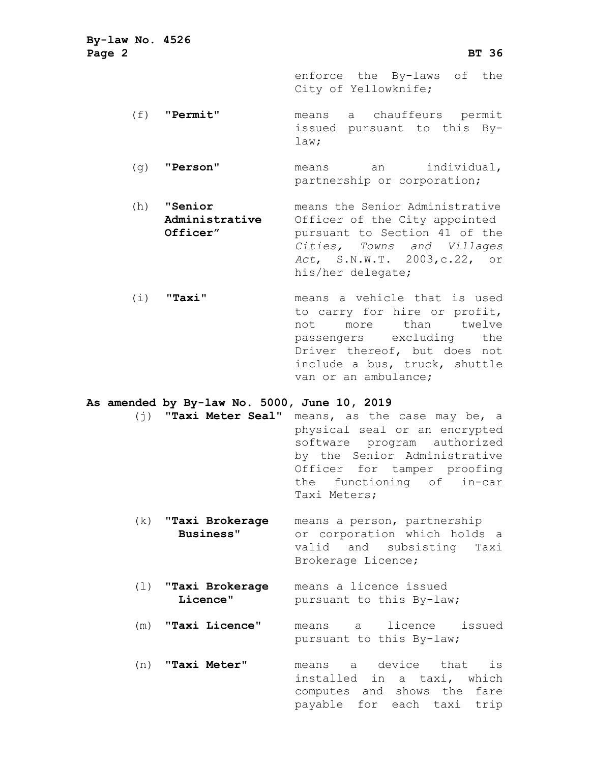**By-law No. 4526 Page 2 BT 36** enforce the By-laws of the City of Yellowknife; (f) "**Permit**" means a chauffeurs permit issued pursuant to this Bylaw; (g) "**Person**" means an individual, partnership or corporation; (h) **"Senior** means the Senior Administrative Administrative Officer of the City appointed<br> **Officer**" **pursuant** to Section 41 of the pursuant to Section 41 of the *Cities, Towns and Villages Act*, S.N.W.T. 2003,c.22, or his/her delegate; (i) "**Taxi**" means a vehicle that is used to carry for hire or profit,<br>not more than twelve more passengers excluding the Driver thereof, but does not include a bus, truck, shuttle van or an ambulance; **As amended by By-law No. 5000, June 10, 2019** (j) "**Taxi Meter Seal**" means, as the case may be, a physical seal or an encrypted software program authorized by the Senior Administrative Officer for tamper proofing the functioning of in-car Taxi Meters; (k) "**Taxi Brokerage** means a person, partnership  **Business**" or corporation which holds a valid and subsisting Taxi Brokerage Licence; (1) **"Taxi Brokerage** means a licence issued<br> **Licence"** pursuant to this By-law pursuant to this By-law;

> (m) "**Taxi Licence**" means a licence issued pursuant to this By-law;

> (n) "**Taxi Meter**" means a device that is installed in a taxi, which computes and shows the fare payable for each taxi trip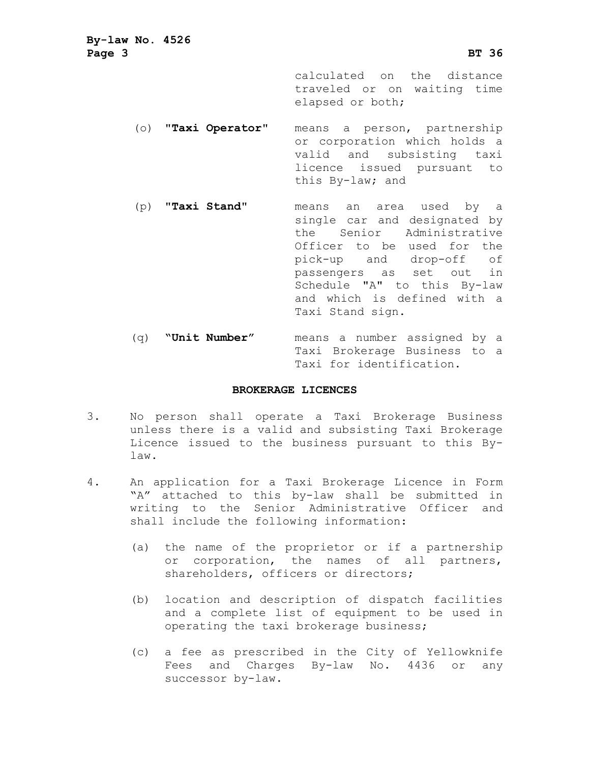**By-law No. 4526 Page 3 BT 36** calculated on the distance traveled or on waiting time elapsed or both; (o) "**Taxi Operator**" means a person, partnership or corporation which holds a valid and subsisting taxi licence issued pursuant to this By-law; and (p) "**Taxi Stand**" means an area used by a single car and designated by<br>the Senior Administrative Senior Administrative Officer to be used for the pick-up and drop-off of passengers as set out in Schedule "A" to this By-law and which is defined with a Taxi Stand sign. (q) **"Unit Number"** means a number assigned by a Taxi Brokerage Business to a

#### **BROKERAGE LICENCES**

Taxi for identification.

- 3. No person shall operate a Taxi Brokerage Business unless there is a valid and subsisting Taxi Brokerage Licence issued to the business pursuant to this Bylaw.
- 4. An application for a Taxi Brokerage Licence in Form "A" attached to this by-law shall be submitted in writing to the Senior Administrative Officer and shall include the following information:
	- (a) the name of the proprietor or if a partnership or corporation, the names of all partners, shareholders, officers or directors;
	- (b) location and description of dispatch facilities and a complete list of equipment to be used in operating the taxi brokerage business;
	- (c) a fee as prescribed in the City of Yellowknife Fees and Charges By-law No. 4436 or any successor by-law.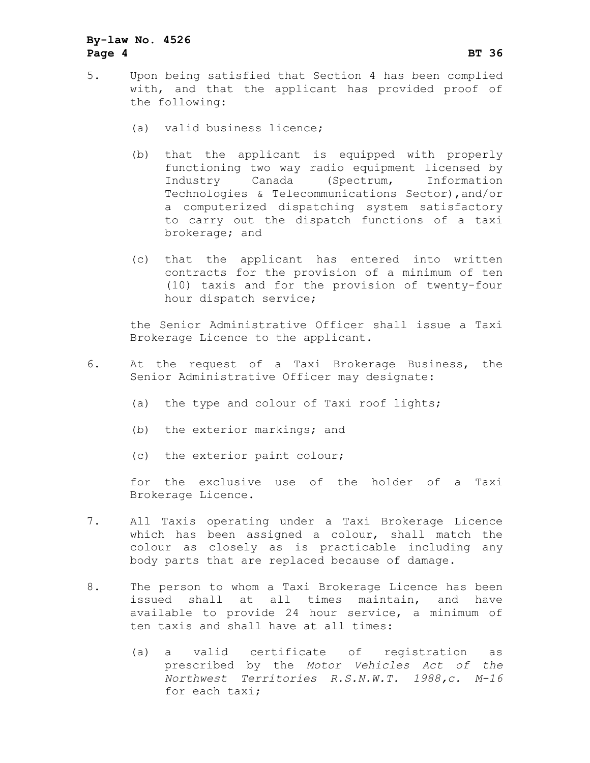## **By-law No. 4526 Page 4 BT 36**

- 5. Upon being satisfied that Section 4 has been complied with, and that the applicant has provided proof of the following:
	- (a) valid business licence;
	- (b) that the applicant is equipped with properly functioning two way radio equipment licensed by Industry Canada (Spectrum, Information Technologies & Telecommunications Sector),and/or a computerized dispatching system satisfactory to carry out the dispatch functions of a taxi brokerage; and
	- (c) that the applicant has entered into written contracts for the provision of a minimum of ten (10) taxis and for the provision of twenty-four hour dispatch service;

the Senior Administrative Officer shall issue a Taxi Brokerage Licence to the applicant.

- 6. At the request of a Taxi Brokerage Business, the Senior Administrative Officer may designate:
	- (a) the type and colour of Taxi roof lights;
	- (b) the exterior markings; and
	- (c) the exterior paint colour;

for the exclusive use of the holder of a Taxi Brokerage Licence.

- 7. All Taxis operating under a Taxi Brokerage Licence which has been assigned a colour, shall match the colour as closely as is practicable including any body parts that are replaced because of damage.
- 8. The person to whom a Taxi Brokerage Licence has been<br>issued shall at all times maintain, and have issued shall at all times maintain, available to provide 24 hour service, a minimum of ten taxis and shall have at all times:
	- (a) a valid certificate of registration as prescribed by the *Motor Vehicles Act of the Northwest Territories R.S.N.W.T. 1988,c. M-16* for each taxi;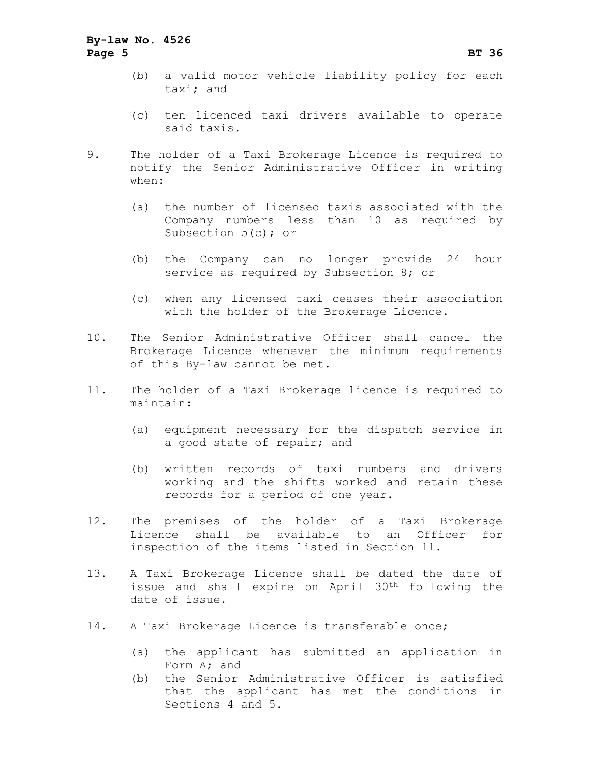## **By-law No. 4526 Page 5 BT 36**

- (b) a valid motor vehicle liability policy for each taxi; and
- (c) ten licenced taxi drivers available to operate said taxis.
- 9. The holder of a Taxi Brokerage Licence is required to notify the Senior Administrative Officer in writing when:
	- (a) the number of licensed taxis associated with the Company numbers less than 10 as required by Subsection 5(c); or
	- (b) the Company can no longer provide 24 hour service as required by Subsection 8; or
	- (c) when any licensed taxi ceases their association with the holder of the Brokerage Licence.
- 10. The Senior Administrative Officer shall cancel the Brokerage Licence whenever the minimum requirements of this By-law cannot be met.
- 11. The holder of a Taxi Brokerage licence is required to maintain:
	- (a) equipment necessary for the dispatch service in a good state of repair; and
	- (b) written records of taxi numbers and drivers working and the shifts worked and retain these records for a period of one year.
- 12. The premises of the holder of a Taxi Brokerage Licence shall be available to an Officer for inspection of the items listed in Section 11.
- 13. A Taxi Brokerage Licence shall be dated the date of issue and shall expire on April 30th following the date of issue.
- 14. A Taxi Brokerage Licence is transferable once;
	- (a) the applicant has submitted an application in Form A; and
	- (b) the Senior Administrative Officer is satisfied that the applicant has met the conditions in Sections 4 and 5.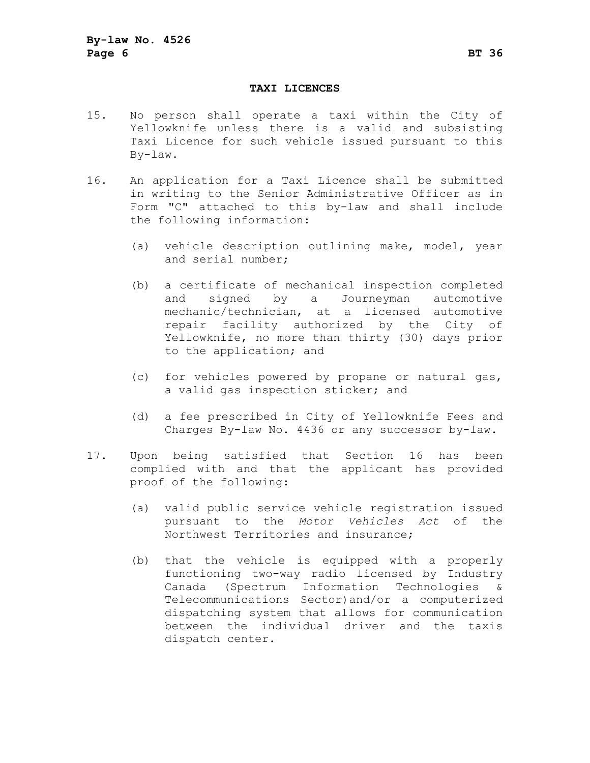#### **TAXI LICENCES**

- 15. No person shall operate a taxi within the City of Yellowknife unless there is a valid and subsisting Taxi Licence for such vehicle issued pursuant to this By-law.
- 16. An application for a Taxi Licence shall be submitted in writing to the Senior Administrative Officer as in Form "C" attached to this by-law and shall include the following information:
	- (a) vehicle description outlining make, model, year and serial number;
	- (b) a certificate of mechanical inspection completed<br>and signed by a Journeyman automotive signed by a Journeyman mechanic/technician, at a licensed automotive repair facility authorized by the City of Yellowknife, no more than thirty (30) days prior to the application; and
	- (c) for vehicles powered by propane or natural gas, a valid gas inspection sticker; and
	- (d) a fee prescribed in City of Yellowknife Fees and Charges By-law No. 4436 or any successor by-law.
- 17. Upon being satisfied that Section 16 has been complied with and that the applicant has provided proof of the following:
	- (a) valid public service vehicle registration issued pursuant to the *Motor Vehicles Act* of the Northwest Territories and insurance;
	- (b) that the vehicle is equipped with a properly functioning two-way radio licensed by Industry Canada (Spectrum Information Technologies & Telecommunications Sector)and/or a computerized dispatching system that allows for communication between the individual driver and the taxis dispatch center.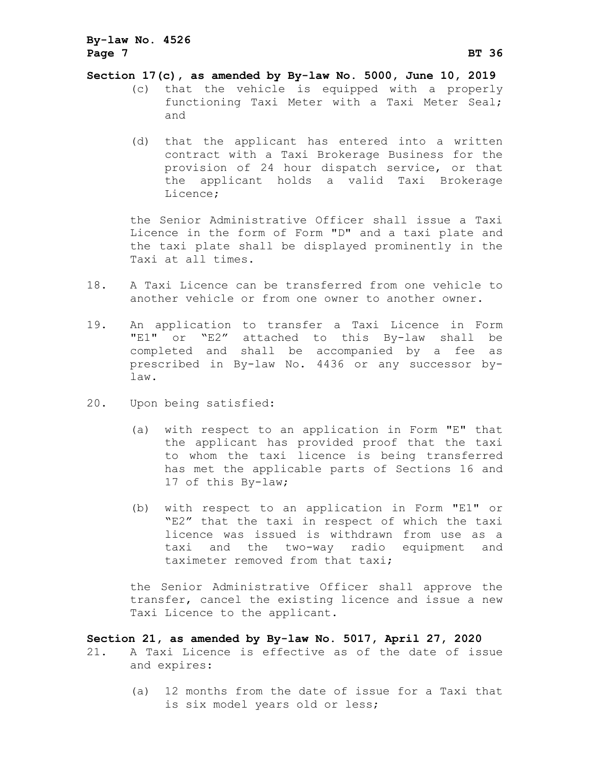## **By-law No. 4526 Page 7 BT 36**

#### **Section 17(c), as amended by By-law No. 5000, June 10, 2019**

- (c) that the vehicle is equipped with a properly functioning Taxi Meter with a Taxi Meter Seal; and
- (d) that the applicant has entered into a written contract with a Taxi Brokerage Business for the provision of 24 hour dispatch service, or that the applicant holds a valid Taxi Brokerage Licence;

the Senior Administrative Officer shall issue a Taxi Licence in the form of Form "D" and a taxi plate and the taxi plate shall be displayed prominently in the Taxi at all times.

- 18. A Taxi Licence can be transferred from one vehicle to another vehicle or from one owner to another owner.
- 19. An application to transfer a Taxi Licence in Form "E1" or "E2" attached to this By-law shall be completed and shall be accompanied by a fee as prescribed in By-law No. 4436 or any successor bylaw.
- 20. Upon being satisfied:
	- (a) with respect to an application in Form "E" that the applicant has provided proof that the taxi to whom the taxi licence is being transferred has met the applicable parts of Sections 16 and 17 of this By-law;
	- (b) with respect to an application in Form "E1" or "E2" that the taxi in respect of which the taxi licence was issued is withdrawn from use as a taxi and the two-way radio equipment and taximeter removed from that taxi;

the Senior Administrative Officer shall approve the transfer, cancel the existing licence and issue a new Taxi Licence to the applicant.

#### **Section 21, as amended by By-law No. 5017, April 27, 2020**

- 21. A Taxi Licence is effective as of the date of issue and expires:
	- (a) 12 months from the date of issue for a Taxi that is six model years old or less;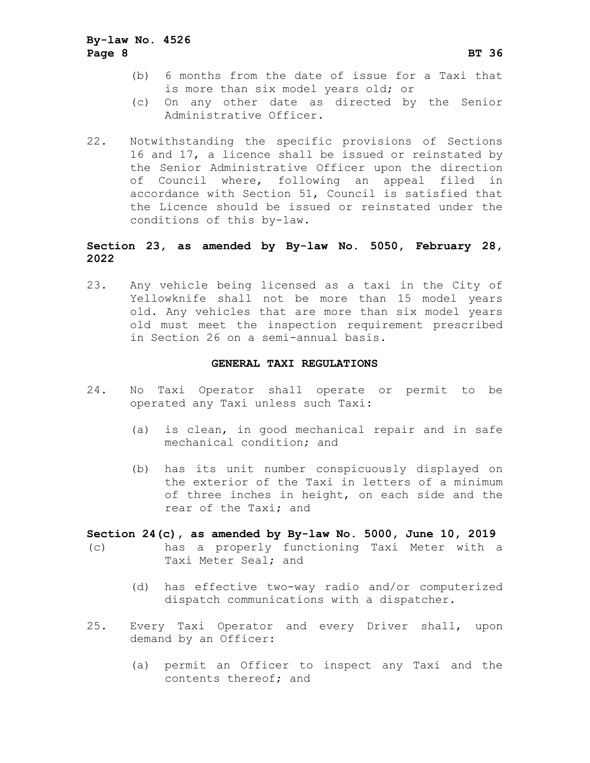- (b) 6 months from the date of issue for a Taxi that is more than six model years old; or
- (c) On any other date as directed by the Senior Administrative Officer.
- 22. Notwithstanding the specific provisions of Sections 16 and 17, a licence shall be issued or reinstated by the Senior Administrative Officer upon the direction of Council where, following an appeal filed in accordance with Section 51, Council is satisfied that the Licence should be issued or reinstated under the conditions of this by-law.

## **Section 23, as amended by By-law No. 5050, February 28, 2022**

23. Any vehicle being licensed as a taxi in the City of Yellowknife shall not be more than 15 model years old. Any vehicles that are more than six model years old must meet the inspection requirement prescribed in Section 26 on a semi-annual basis.

#### **GENERAL TAXI REGULATIONS**

- 24. No Taxi Operator shall operate or permit to be operated any Taxi unless such Taxi:
	- (a) is clean, in good mechanical repair and in safe mechanical condition; and
	- (b) has its unit number conspicuously displayed on the exterior of the Taxi in letters of a minimum of three inches in height, on each side and the rear of the Taxi; and

**Section 24(c), as amended by By-law No. 5000, June 10, 2019** (c) has a properly functioning Taxi Meter with a Taxi Meter Seal; and

- (d) has effective two-way radio and/or computerized dispatch communications with a dispatcher.
- 25. Every Taxi Operator and every Driver shall, upon demand by an Officer:
	- (a) permit an Officer to inspect any Taxi and the contents thereof; and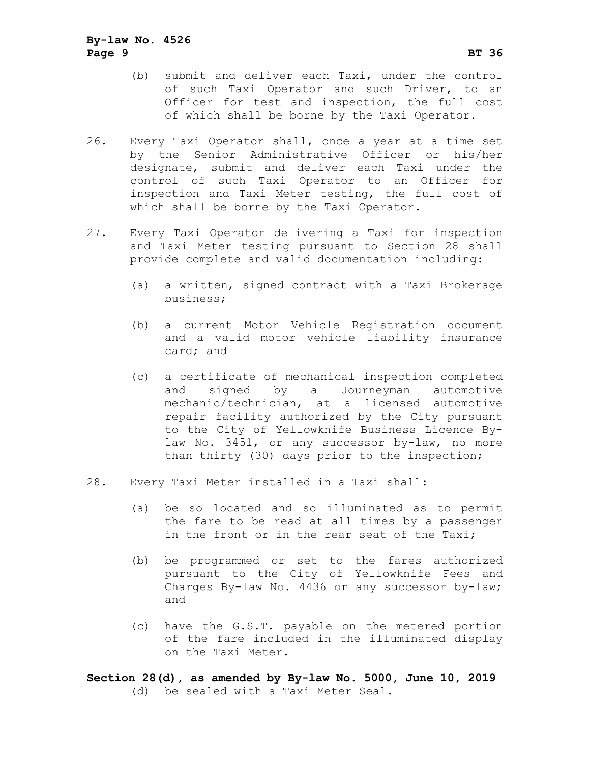- (b) submit and deliver each Taxi, under the control of such Taxi Operator and such Driver, to an Officer for test and inspection, the full cost of which shall be borne by the Taxi Operator.
- 26. Every Taxi Operator shall, once a year at a time set by the Senior Administrative Officer or his/her designate, submit and deliver each Taxi under the control of such Taxi Operator to an Officer for inspection and Taxi Meter testing, the full cost of which shall be borne by the Taxi Operator.
- 27. Every Taxi Operator delivering a Taxi for inspection and Taxi Meter testing pursuant to Section 28 shall provide complete and valid documentation including:
	- (a) a written, signed contract with a Taxi Brokerage business;
	- (b) a current Motor Vehicle Registration document and a valid motor vehicle liability insurance card; and
	- (c) a certificate of mechanical inspection completed and signed by a Journeyman automotive mechanic/technician, at a licensed automotive repair facility authorized by the City pursuant to the City of Yellowknife Business Licence Bylaw No. 3451, or any successor by-law, no more than thirty (30) days prior to the inspection;
- 28. Every Taxi Meter installed in a Taxi shall:
	- (a) be so located and so illuminated as to permit the fare to be read at all times by a passenger in the front or in the rear seat of the Taxi;
	- (b) be programmed or set to the fares authorized pursuant to the City of Yellowknife Fees and Charges By-law No. 4436 or any successor by-law; and
	- (c) have the G.S.T. payable on the metered portion of the fare included in the illuminated display on the Taxi Meter.

**Section 28(d), as amended by By-law No. 5000, June 10, 2019** (d) be sealed with a Taxi Meter Seal.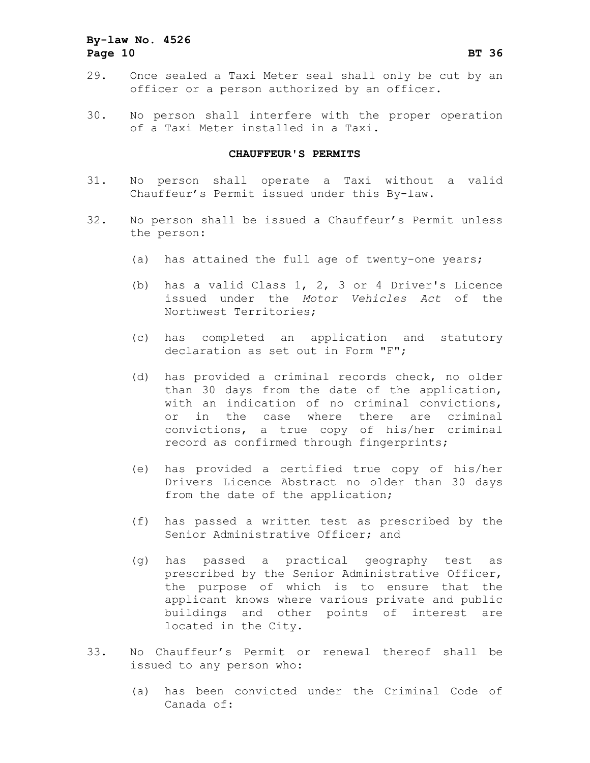## **By-law No. 4526 Page 10 BT 36**

- 29. Once sealed a Taxi Meter seal shall only be cut by an officer or a person authorized by an officer.
- 30. No person shall interfere with the proper operation of a Taxi Meter installed in a Taxi.

#### **CHAUFFEUR'S PERMITS**

- 31. No person shall operate a Taxi without a valid Chauffeur's Permit issued under this By-law.
- 32. No person shall be issued a Chauffeur's Permit unless the person:
	- (a) has attained the full age of twenty-one years;
	- (b) has a valid Class 1, 2, 3 or 4 Driver's Licence issued under the *Motor Vehicles Act* of the Northwest Territories;
	- (c) has completed an application and statutory declaration as set out in Form "F";
	- (d) has provided a criminal records check, no older than 30 days from the date of the application, with an indication of no criminal convictions, or in the case where there are criminal convictions, a true copy of his/her criminal record as confirmed through fingerprints;
	- (e) has provided a certified true copy of his/her Drivers Licence Abstract no older than 30 days from the date of the application;
	- (f) has passed a written test as prescribed by the Senior Administrative Officer; and
	- (g) has passed a practical geography test as prescribed by the Senior Administrative Officer, the purpose of which is to ensure that the applicant knows where various private and public buildings and other points of interest are located in the City.
- 33. No Chauffeur's Permit or renewal thereof shall be issued to any person who:
	- (a) has been convicted under the Criminal Code of Canada of: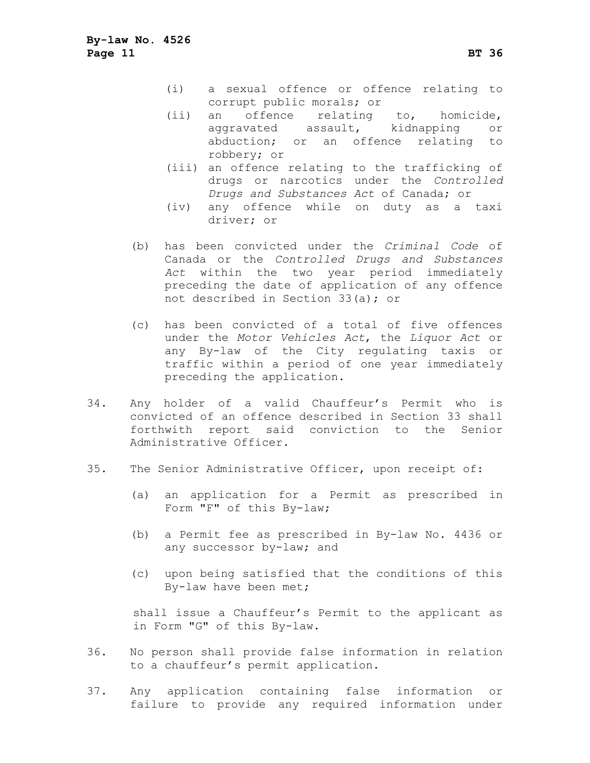- (i) a sexual offence or offence relating to corrupt public morals; or
- (ii) an offence relating to, homicide, aggravated assault, kidnapping or abduction; or an offence relating to robbery; or
- (iii) an offence relating to the trafficking of drugs or narcotics under the *Controlled Drugs and Substances Act* of Canada; or
- (iv) any offence while on duty as a taxi driver; or
- (b) has been convicted under the *Criminal Code* of Canada or the *Controlled Drugs and Substances Act* within the two year period immediately preceding the date of application of any offence not described in Section 33(a); or
- (c) has been convicted of a total of five offences under the *Motor Vehicles Act*, the *Liquor Act* or any By-law of the City regulating taxis or traffic within a period of one year immediately preceding the application.
- 34. Any holder of a valid Chauffeur's Permit who is convicted of an offence described in Section 33 shall forthwith report said conviction to the Senior Administrative Officer.
- 35. The Senior Administrative Officer, upon receipt of:
	- (a) an application for a Permit as prescribed in Form "F" of this By-law;
	- (b) a Permit fee as prescribed in By-law No. 4436 or any successor by-law; and
	- (c) upon being satisfied that the conditions of this By-law have been met;

shall issue a Chauffeur's Permit to the applicant as in Form "G" of this By-law.

- 36. No person shall provide false information in relation to a chauffeur's permit application.
- 37. Any application containing false information or failure to provide any required information under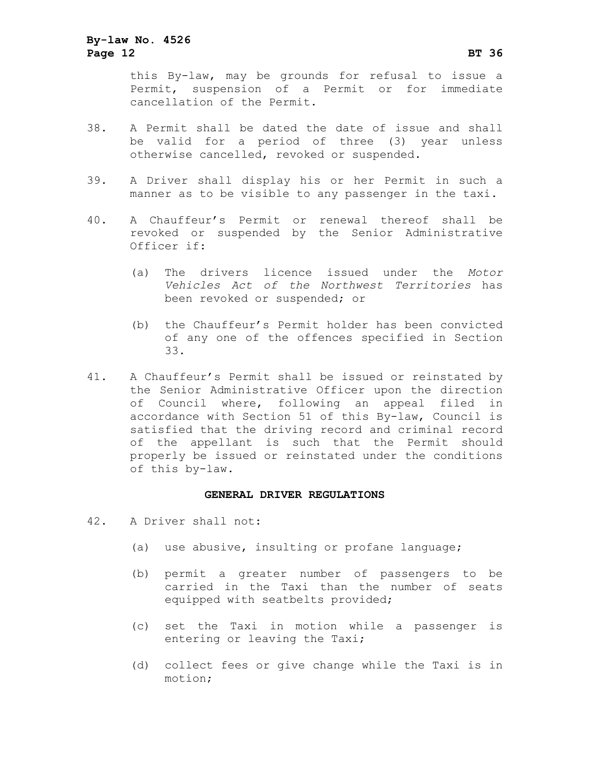this By-law, may be grounds for refusal to issue a Permit, suspension of a Permit or for immediate cancellation of the Permit.

- 38. A Permit shall be dated the date of issue and shall be valid for a period of three (3) year unless otherwise cancelled, revoked or suspended.
- 39. A Driver shall display his or her Permit in such a manner as to be visible to any passenger in the taxi.
- 40. A Chauffeur's Permit or renewal thereof shall be revoked or suspended by the Senior Administrative Officer if:
	- (a) The drivers licence issued under the *Motor Vehicles Act of the Northwest Territories* has been revoked or suspended; or
	- (b) the Chauffeur's Permit holder has been convicted of any one of the offences specified in Section 33.
- 41. A Chauffeur's Permit shall be issued or reinstated by the Senior Administrative Officer upon the direction of Council where, following an appeal filed in accordance with Section 51 of this By-law, Council is satisfied that the driving record and criminal record of the appellant is such that the Permit should properly be issued or reinstated under the conditions of this by-law.

#### **GENERAL DRIVER REGULATIONS**

- 42. A Driver shall not:
	- (a) use abusive, insulting or profane language;
	- (b) permit a greater number of passengers to be carried in the Taxi than the number of seats equipped with seatbelts provided;
	- (c) set the Taxi in motion while a passenger is entering or leaving the Taxi;
	- (d) collect fees or give change while the Taxi is in motion;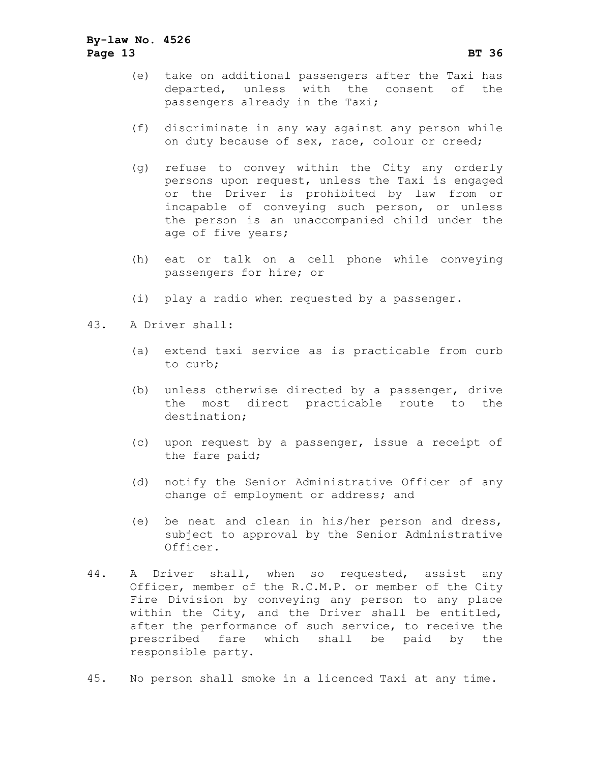## **By-law No. 4526 Page 13 BT 36**

- (e) take on additional passengers after the Taxi has departed, unless with the consent of the passengers already in the Taxi;
- (f) discriminate in any way against any person while on duty because of sex, race, colour or creed;
- (g) refuse to convey within the City any orderly persons upon request, unless the Taxi is engaged or the Driver is prohibited by law from or incapable of conveying such person, or unless the person is an unaccompanied child under the age of five years;
- (h) eat or talk on a cell phone while conveying passengers for hire; or
- (i) play a radio when requested by a passenger.
- 43. A Driver shall:
	- (a) extend taxi service as is practicable from curb to curb;
	- (b) unless otherwise directed by a passenger, drive the most direct practicable route to the destination;
	- (c) upon request by a passenger, issue a receipt of the fare paid;
	- (d) notify the Senior Administrative Officer of any change of employment or address; and
	- (e) be neat and clean in his/her person and dress, subject to approval by the Senior Administrative Officer.
- 44. A Driver shall, when so requested, assist any Officer, member of the R.C.M.P. or member of the City Fire Division by conveying any person to any place within the City, and the Driver shall be entitled, after the performance of such service, to receive the prescribed fare which shall be paid by the responsible party.
- 45. No person shall smoke in a licenced Taxi at any time.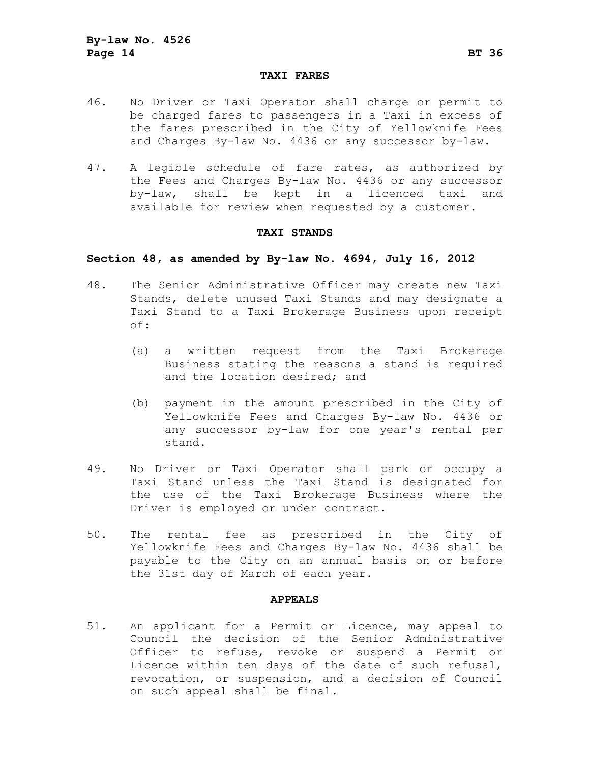#### **TAXI FARES**

- 46. No Driver or Taxi Operator shall charge or permit to be charged fares to passengers in a Taxi in excess of the fares prescribed in the City of Yellowknife Fees and Charges By-law No. 4436 or any successor by-law.
- 47. A legible schedule of fare rates, as authorized by the Fees and Charges By-law No. 4436 or any successor by-law, shall be kept in a licenced taxi and available for review when requested by a customer.

#### **TAXI STANDS**

## **Section 48, as amended by By-law No. 4694, July 16, 2012**

- 48. The Senior Administrative Officer may create new Taxi Stands, delete unused Taxi Stands and may designate a Taxi Stand to a Taxi Brokerage Business upon receipt of:
	- (a) a written request from the Taxi Brokerage Business stating the reasons a stand is required and the location desired; and
	- (b) payment in the amount prescribed in the City of Yellowknife Fees and Charges By-law No. 4436 or any successor by-law for one year's rental per stand.
- 49. No Driver or Taxi Operator shall park or occupy a Taxi Stand unless the Taxi Stand is designated for the use of the Taxi Brokerage Business where the Driver is employed or under contract.
- 50. The rental fee as prescribed in the City of Yellowknife Fees and Charges By-law No. 4436 shall be payable to the City on an annual basis on or before the 31st day of March of each year.

#### **APPEALS**

51. An applicant for a Permit or Licence, may appeal to Council the decision of the Senior Administrative Officer to refuse, revoke or suspend a Permit or Licence within ten days of the date of such refusal, revocation, or suspension, and a decision of Council on such appeal shall be final.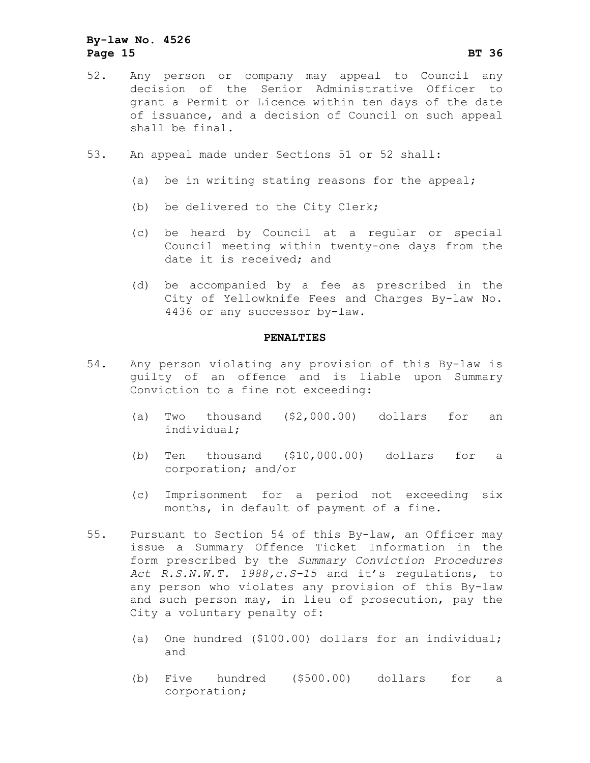## **By-law No. 4526 Page 15 BT 36**

- 52. Any person or company may appeal to Council any decision of the Senior Administrative Officer to grant a Permit or Licence within ten days of the date of issuance, and a decision of Council on such appeal shall be final.
- 53. An appeal made under Sections 51 or 52 shall:
	- (a) be in writing stating reasons for the appeal;
	- (b) be delivered to the City Clerk;
	- (c) be heard by Council at a regular or special Council meeting within twenty-one days from the date it is received; and
	- (d) be accompanied by a fee as prescribed in the City of Yellowknife Fees and Charges By-law No. 4436 or any successor by-law.

#### **PENALTIES**

- 54. Any person violating any provision of this By-law is guilty of an offence and is liable upon Summary Conviction to a fine not exceeding:
	- (a) Two thousand (\$2,000.00) dollars for an individual;
	- (b) Ten thousand (\$10,000.00) dollars for a corporation; and/or
	- (c) Imprisonment for a period not exceeding six months, in default of payment of a fine.
- 55. Pursuant to Section 54 of this By-law, an Officer may issue a Summary Offence Ticket Information in the form prescribed by the *Summary Conviction Procedures Act R.S.N.W.T. 1988,c.S-15* and it's regulations, to any person who violates any provision of this By-law and such person may, in lieu of prosecution, pay the City a voluntary penalty of:
	- (a) One hundred (\$100.00) dollars for an individual; and
	- (b) Five hundred (\$500.00) dollars for a corporation;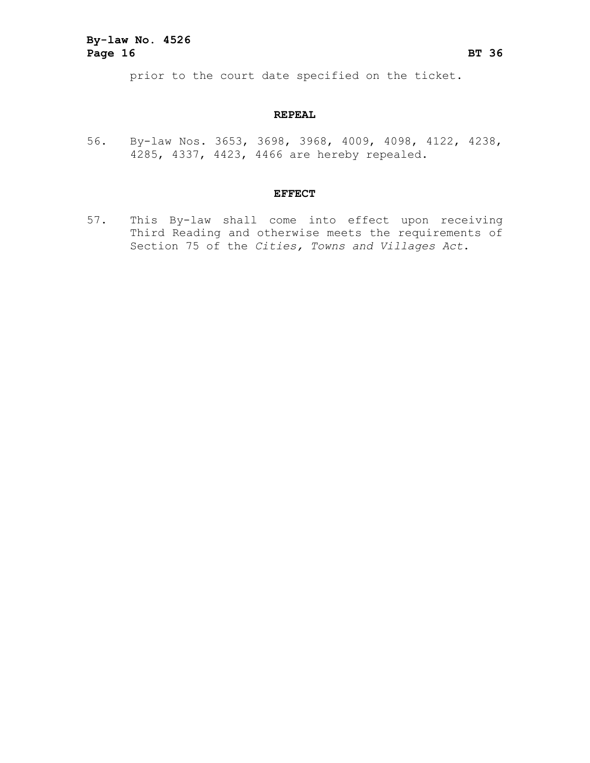prior to the court date specified on the ticket.

#### **REPEAL**

56. By-law Nos. 3653, 3698, 3968, 4009, 4098, 4122, 4238, 4285, 4337, 4423, 4466 are hereby repealed.

#### **EFFECT**

57. This By-law shall come into effect upon receiving Third Reading and otherwise meets the requirements of Section 75 of the *Cities, Towns and Villages Act*.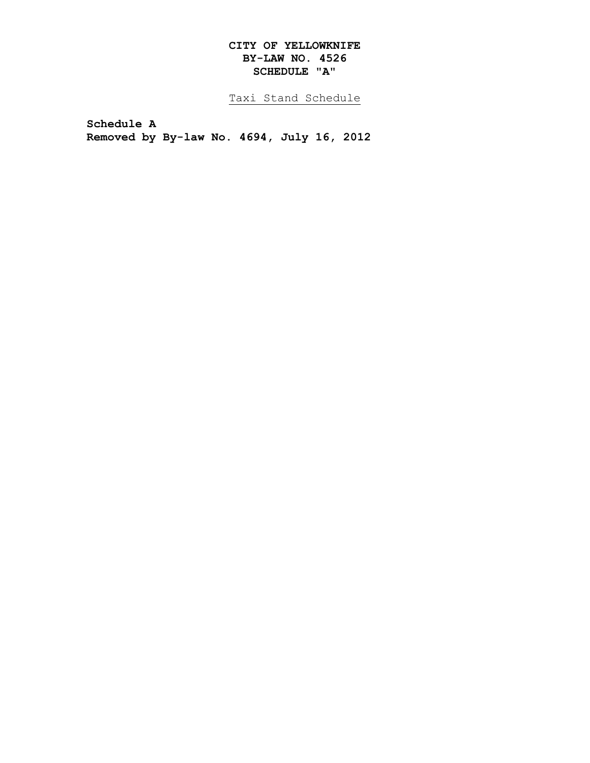## **CITY OF YELLOWKNIFE BY-LAW NO. 4526 SCHEDULE "A"**

Taxi Stand Schedule

**Schedule A Removed by By-law No. 4694, July 16, 2012**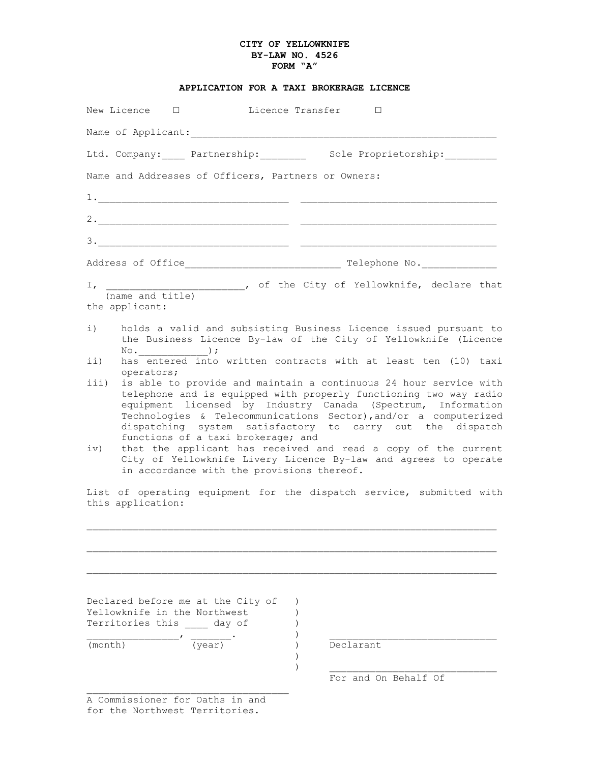#### **CITY OF YELLOWKNIFE BY-LAW NO. 4526 FORM "A"**

| APPLICATION FOR A TAXI BROKERAGE LICENCE |  |  |  |
|------------------------------------------|--|--|--|
|                                          |  |  |  |

|             | New Licence $\Box$                 |                                                                                                                    | Licence Transfer        □                           |           |                      |                                                                                                                                                                                                                                                                                                                                                                                                           |
|-------------|------------------------------------|--------------------------------------------------------------------------------------------------------------------|-----------------------------------------------------|-----------|----------------------|-----------------------------------------------------------------------------------------------------------------------------------------------------------------------------------------------------------------------------------------------------------------------------------------------------------------------------------------------------------------------------------------------------------|
|             |                                    |                                                                                                                    |                                                     |           |                      |                                                                                                                                                                                                                                                                                                                                                                                                           |
|             |                                    |                                                                                                                    |                                                     |           |                      | Ltd. Company: Partnership: Sole Proprietorship:                                                                                                                                                                                                                                                                                                                                                           |
|             |                                    |                                                                                                                    | Name and Addresses of Officers, Partners or Owners: |           |                      |                                                                                                                                                                                                                                                                                                                                                                                                           |
|             |                                    |                                                                                                                    |                                                     |           |                      |                                                                                                                                                                                                                                                                                                                                                                                                           |
|             |                                    |                                                                                                                    |                                                     |           |                      |                                                                                                                                                                                                                                                                                                                                                                                                           |
|             |                                    |                                                                                                                    |                                                     |           |                      |                                                                                                                                                                                                                                                                                                                                                                                                           |
|             |                                    |                                                                                                                    |                                                     |           |                      |                                                                                                                                                                                                                                                                                                                                                                                                           |
|             | (name and title)<br>the applicant: |                                                                                                                    |                                                     |           |                      | I, ________________________, of the City of Yellowknife, declare that                                                                                                                                                                                                                                                                                                                                     |
| i)<br>ii)   |                                    | $\mathbb{N} \circ .$ $\qquad \qquad$ ) ;                                                                           |                                                     |           |                      | holds a valid and subsisting Business Licence issued pursuant to<br>the Business Licence By-law of the City of Yellowknife (Licence<br>has entered into written contracts with at least ten (10) taxi                                                                                                                                                                                                     |
| iii)<br>iv) | operators;                         |                                                                                                                    | functions of a taxi brokerage; and                  |           |                      | is able to provide and maintain a continuous 24 hour service with<br>telephone and is equipped with properly functioning two way radio<br>equipment licensed by Industry Canada (Spectrum, Information<br>Technologies & Telecommunications Sector), and/or a computerized<br>dispatching system satisfactory to carry out the dispatch<br>that the applicant has received and read a copy of the current |
|             |                                    |                                                                                                                    | in accordance with the provisions thereof.          |           |                      | City of Yellowknife Livery Licence By-law and agrees to operate                                                                                                                                                                                                                                                                                                                                           |
|             | this application:                  |                                                                                                                    |                                                     |           |                      | List of operating equipment for the dispatch service, submitted with                                                                                                                                                                                                                                                                                                                                      |
|             |                                    |                                                                                                                    |                                                     |           |                      |                                                                                                                                                                                                                                                                                                                                                                                                           |
| (month)     |                                    | Declared before me at the City of<br>Yellowknife in the Northwest<br>Territories this day of<br>$\frac{1}{(year)}$ |                                                     | Declarant |                      |                                                                                                                                                                                                                                                                                                                                                                                                           |
|             |                                    |                                                                                                                    |                                                     |           | For and On Behalf Of |                                                                                                                                                                                                                                                                                                                                                                                                           |

A Commissioner for Oaths in and for the Northwest Territories.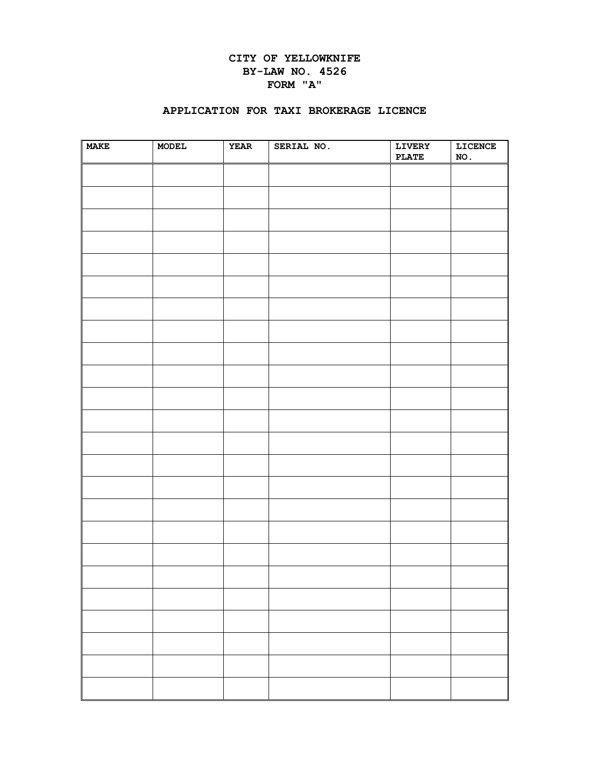## **CITY OF YELLOWKNIFE BY-LAW NO. 4526 FORM "A"**

#### **APPLICATION FOR TAXI BROKERAGE LICENCE**

| <b>MAKE</b> | MODEL | <b>YEAR</b> | SERIAL NO. | LIVERY<br><b>PLATE</b> | LICENCE<br>NO. |
|-------------|-------|-------------|------------|------------------------|----------------|
|             |       |             |            |                        |                |
|             |       |             |            |                        |                |
|             |       |             |            |                        |                |
|             |       |             |            |                        |                |
|             |       |             |            |                        |                |
|             |       |             |            |                        |                |
|             |       |             |            |                        |                |
|             |       |             |            |                        |                |
|             |       |             |            |                        |                |
|             |       |             |            |                        |                |
|             |       |             |            |                        |                |
|             |       |             |            |                        |                |
|             |       |             |            |                        |                |
|             |       |             |            |                        |                |
|             |       |             |            |                        |                |
|             |       |             |            |                        |                |
|             |       |             |            |                        |                |
|             |       |             |            |                        |                |
|             |       |             |            |                        |                |
|             |       |             |            |                        |                |
|             |       |             |            |                        |                |
|             |       |             |            |                        |                |
|             |       |             |            |                        |                |
|             |       |             |            |                        |                |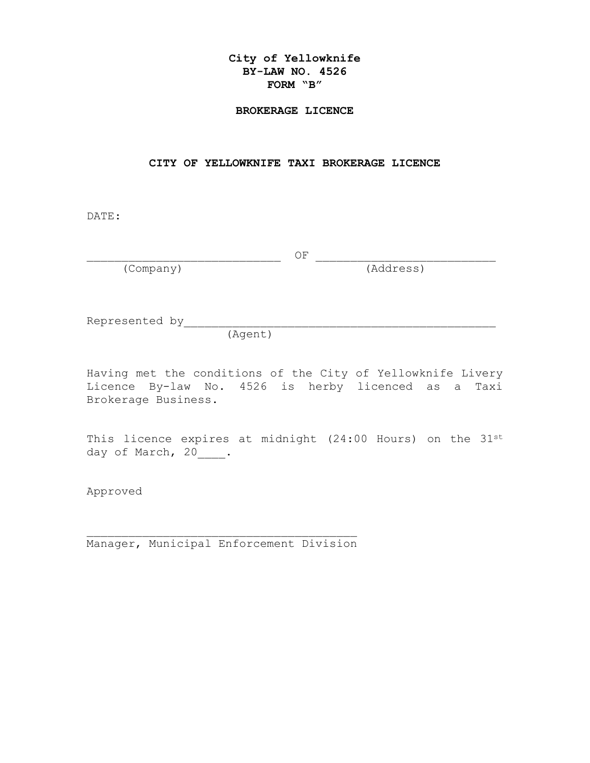## **City of Yellowknife BY-LAW NO. 4526 FORM "B"**

#### **BROKERAGE LICENCE**

#### **CITY OF YELLOWKNIFE TAXI BROKERAGE LICENCE**

DATE:

\_\_\_\_\_\_\_\_\_\_\_\_\_\_\_\_\_\_\_\_\_\_\_\_\_\_\_\_ OF \_\_\_\_\_\_\_\_\_\_\_\_\_\_\_\_\_\_\_\_\_\_\_\_\_\_

(Company) (Address)

Represented by\_\_\_\_\_\_\_\_\_\_\_\_\_\_\_\_\_\_\_\_\_\_\_\_\_\_\_\_\_\_\_\_\_\_\_\_\_\_\_\_\_\_\_\_\_

(Agent)

Having met the conditions of the City of Yellowknife Livery Licence By-law No. 4526 is herby licenced as a Taxi Brokerage Business.

This licence expires at midnight (24:00 Hours) on the 31st day of March, 20\_\_\_\_.

Approved

\_\_\_\_\_\_\_\_\_\_\_\_\_\_\_\_\_\_\_\_\_\_\_\_\_\_\_\_\_\_\_\_\_\_\_\_\_\_\_ Manager, Municipal Enforcement Division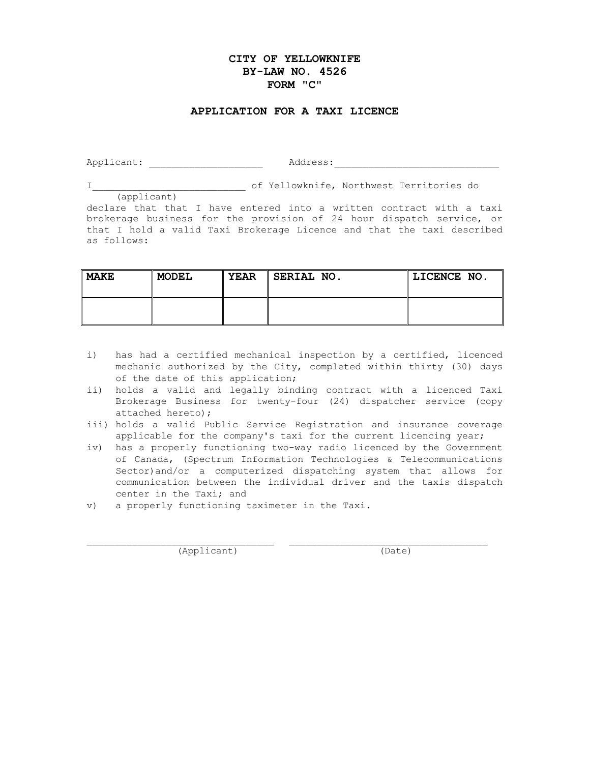## **CITY OF YELLOWKNIFE BY-LAW NO. 4526 FORM "C"**

#### **APPLICATION FOR A TAXI LICENCE**

Applicant: \_\_\_\_\_\_\_\_\_\_\_\_\_\_\_\_\_\_\_\_ Address:\_\_\_\_\_\_\_\_\_\_\_\_\_\_\_\_\_\_\_\_\_\_\_\_\_\_\_\_\_

I\_\_\_\_\_\_\_\_\_\_\_\_\_\_\_\_\_\_\_\_\_\_\_\_\_\_\_ of Yellowknife, Northwest Territories do

(applicant) declare that that I have entered into a written contract with a taxi brokerage business for the provision of 24 hour dispatch service, or that I hold a valid Taxi Brokerage Licence and that the taxi described as follows:

| <b>MAKE</b> | <b>MODEL</b> | <b>YEAR</b> | SERIAL NO. | LICENCE NO. |
|-------------|--------------|-------------|------------|-------------|
|             |              |             |            |             |

- i) has had a certified mechanical inspection by a certified, licenced mechanic authorized by the City, completed within thirty (30) days of the date of this application;
- ii) holds a valid and legally binding contract with a licenced Taxi Brokerage Business for twenty-four (24) dispatcher service (copy attached hereto);
- iii) holds a valid Public Service Registration and insurance coverage applicable for the company's taxi for the current licencing year;
- iv) has a properly functioning two-way radio licenced by the Government of Canada, (Spectrum Information Technologies & Telecommunications Sector)and/or a computerized dispatching system that allows for communication between the individual driver and the taxis dispatch center in the Taxi; and

\_\_\_\_\_\_\_\_\_\_\_\_\_\_\_\_\_\_\_\_\_\_\_\_\_\_\_\_\_\_\_\_\_ \_\_\_\_\_\_\_\_\_\_\_\_\_\_\_\_\_\_\_\_\_\_\_\_\_\_\_\_\_\_\_\_\_\_\_

v) a properly functioning taximeter in the Taxi.

(Applicant) (Date)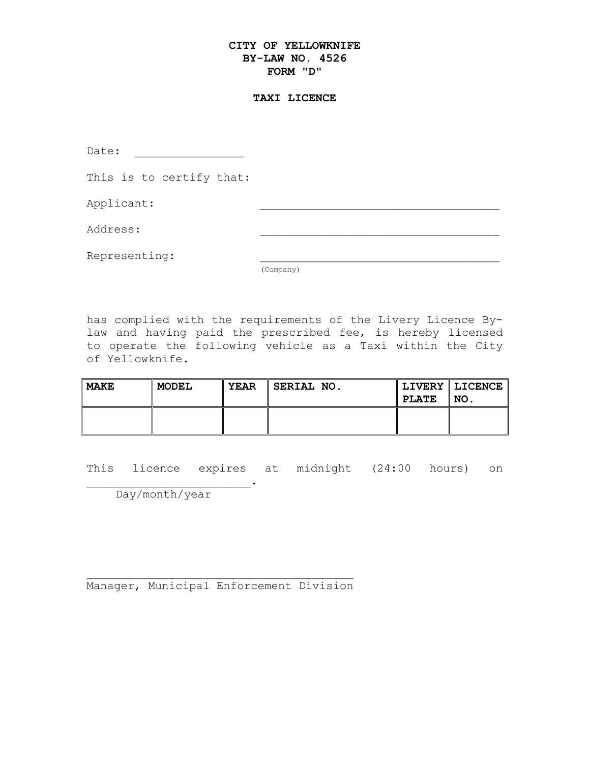## **CITY OF YELLOWKNIFE BY-LAW NO. 4526 FORM "D"**

#### **TAXI LICENCE**

Date: \_\_\_\_\_\_\_\_\_\_\_\_\_\_\_\_

This is to certify that:

Applicant:

Address: \_\_\_\_\_\_\_\_\_\_\_\_\_\_\_\_\_\_\_\_\_\_\_\_\_\_\_\_\_\_\_\_\_\_\_

Representing:

(Company)

has complied with the requirements of the Livery Licence Bylaw and having paid the prescribed fee, is hereby licensed to operate the following vehicle as a Taxi within the City of Yellowknife.

| MAKE | <b>MODEL</b> | <b>YEAR</b> | SERIAL NO. | <b>PLATE</b> | LIVERY   LICENCE   <br>'NO. |
|------|--------------|-------------|------------|--------------|-----------------------------|
|      |              |             |            |              |                             |

This licence expires at midnight (24:00 hours) on

\_\_\_\_\_\_\_\_\_\_\_\_\_\_\_\_\_\_\_\_\_\_\_\_. Day/month/year

\_\_\_\_\_\_\_\_\_\_\_\_\_\_\_\_\_\_\_\_\_\_\_\_\_\_\_\_\_\_\_\_\_\_\_\_\_\_\_ Manager, Municipal Enforcement Division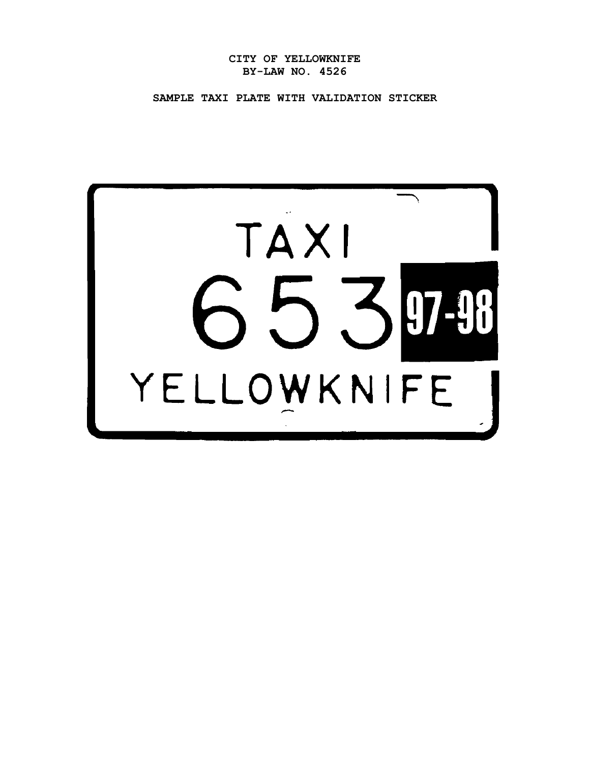**CITY OF YELLOWKNIFE BY-LAW NO. 4526**

**SAMPLE TAXI PLATE WITH VALIDATION STICKER**

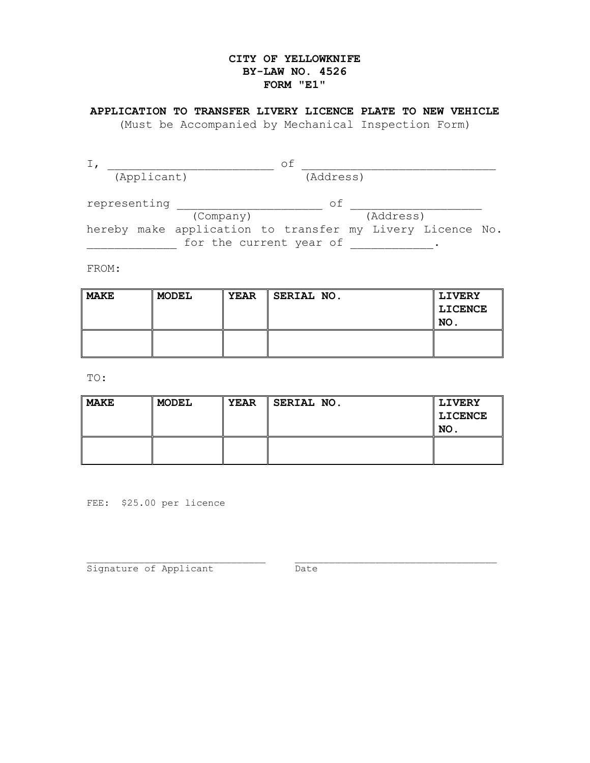## **CITY OF YELLOWKNIFE BY-LAW NO. 4526 FORM "E1"**

## **APPLICATION TO TRANSFER LIVERY LICENCE PLATE TO NEW VEHICLE**

(Must be Accompanied by Mechanical Inspection Form)

| (Applicant)  |  | (Address)                                                 |    |           |  |
|--------------|--|-----------------------------------------------------------|----|-----------|--|
| representing |  |                                                           | оf |           |  |
|              |  | (Company)                                                 |    | (Address) |  |
|              |  | hereby make application to transfer my Livery Licence No. |    |           |  |
|              |  | for the current year of                                   |    |           |  |

FROM:

| MAKE | <b>MODEL</b> | <b>YEAR</b> | SERIAL NO. | <b>LIVERY</b><br>LICENCE<br>NO. |
|------|--------------|-------------|------------|---------------------------------|
|      |              |             |            |                                 |

TO:

| MAKE | <b>MODEL</b> | <b>YEAR</b> | SERIAL NO. | <b>LIVERY</b> |
|------|--------------|-------------|------------|---------------|
|      |              |             |            | LICENCE       |
|      |              |             |            | NO.           |
|      |              |             |            |               |
|      |              |             |            |               |

FEE: \$25.00 per licence

\_\_\_\_\_\_\_\_\_\_\_\_\_\_\_\_\_\_\_\_\_\_\_\_\_\_\_\_\_\_\_ \_\_\_\_\_\_\_\_\_\_\_\_\_\_\_\_\_\_\_\_\_\_\_\_\_\_\_\_\_\_\_\_\_\_\_ Signature of Applicant The Date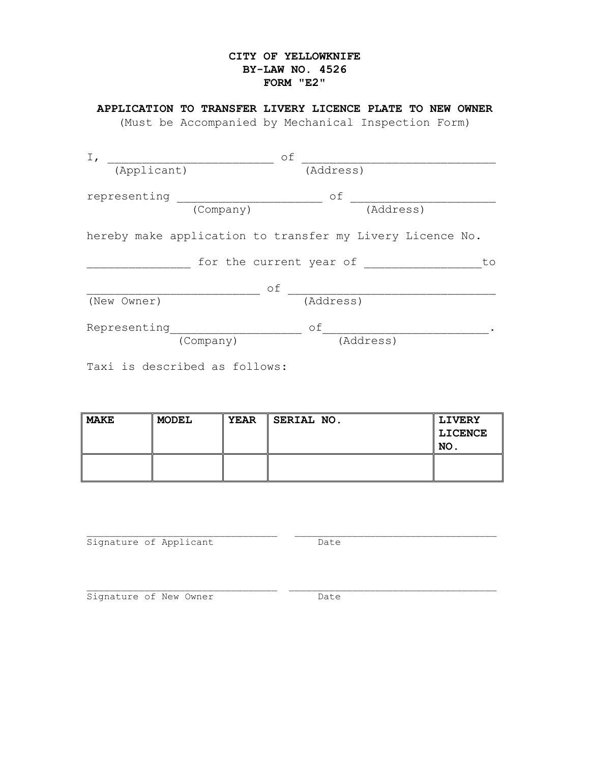## **CITY OF YELLOWKNIFE BY-LAW NO. 4526 FORM "E2"**

## **APPLICATION TO TRANSFER LIVERY LICENCE PLATE TO NEW OWNER**

(Must be Accompanied by Mechanical Inspection Form)

| $I_{\prime}$                  | оf                                                        |
|-------------------------------|-----------------------------------------------------------|
| (Applicant)                   | (Address)                                                 |
| representing                  | оf<br>(Address)                                           |
| (Company)                     |                                                           |
|                               | hereby make application to transfer my Livery Licence No. |
|                               | for the current year of<br>to                             |
|                               | of                                                        |
| (New Owner)                   | (Address)                                                 |
| Representing                  | οf                                                        |
| (Company)                     | (Address)                                                 |
| Taxi is described as follows: |                                                           |

| MAKE | <b>MODEL</b> | <b>YEAR</b> | SERIAL NO. | <b>LIVERY</b> |
|------|--------------|-------------|------------|---------------|
|      |              |             |            | LICENCE       |
|      |              |             |            | NO.           |
|      |              |             |            |               |
|      |              |             |            |               |

\_\_\_\_\_\_\_\_\_\_\_\_\_\_\_\_\_\_\_\_\_\_\_\_\_\_\_\_\_\_\_\_\_ \_\_\_\_\_\_\_\_\_\_\_\_\_\_\_\_\_\_\_\_\_\_\_\_\_\_\_\_\_\_\_\_\_\_\_ Signature of Applicant **Date** 

\_\_\_\_\_\_\_\_\_\_\_\_\_\_\_\_\_\_\_\_\_\_\_\_\_\_\_\_\_\_\_\_\_ \_\_\_\_\_\_\_\_\_\_\_\_\_\_\_\_\_\_\_\_\_\_\_\_\_\_\_\_\_\_\_\_\_\_\_\_ Signature of New Owner Date Date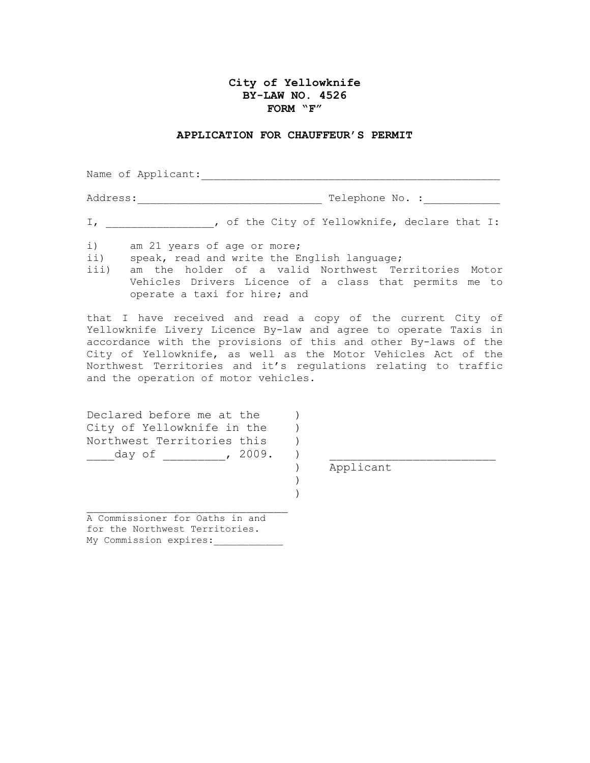#### **City of Yellowknife BY-LAW NO. 4526 FORM "F"**

#### **APPLICATION FOR CHAUFFEUR'S PERMIT**

Name of Applicant: Address:\_\_\_\_\_\_\_\_\_\_\_\_\_\_\_\_\_\_\_\_\_\_\_\_\_\_\_\_\_ Telephone No. :\_\_\_\_\_\_\_\_\_\_\_\_

I, \_\_\_\_\_\_\_\_\_\_\_\_\_\_\_\_\_, of the City of Yellowknife, declare that I:

i) am 21 years of age or more;<br>ii) speak, read and write the E

speak, read and write the English language;

iii) am the holder of a valid Northwest Territories Motor Vehicles Drivers Licence of a class that permits me to operate a taxi for hire; and

that I have received and read a copy of the current City of Yellowknife Livery Licence By-law and agree to operate Taxis in accordance with the provisions of this and other By-laws of the City of Yellowknife, as well as the Motor Vehicles Act of the Northwest Territories and it's regulations relating to traffic and the operation of motor vehicles.

> ) )

| Declared before me at the  |  |
|----------------------------|--|
| City of Yellowknife in the |  |
| Northwest Territories this |  |
| , 2009.<br>dav of          |  |

) Applicant

A Commissioner for Oaths in and for the Northwest Territories. My Commission expires:

\_\_\_\_\_\_\_\_\_\_\_\_\_\_\_\_\_\_\_\_\_\_\_\_\_\_\_\_\_